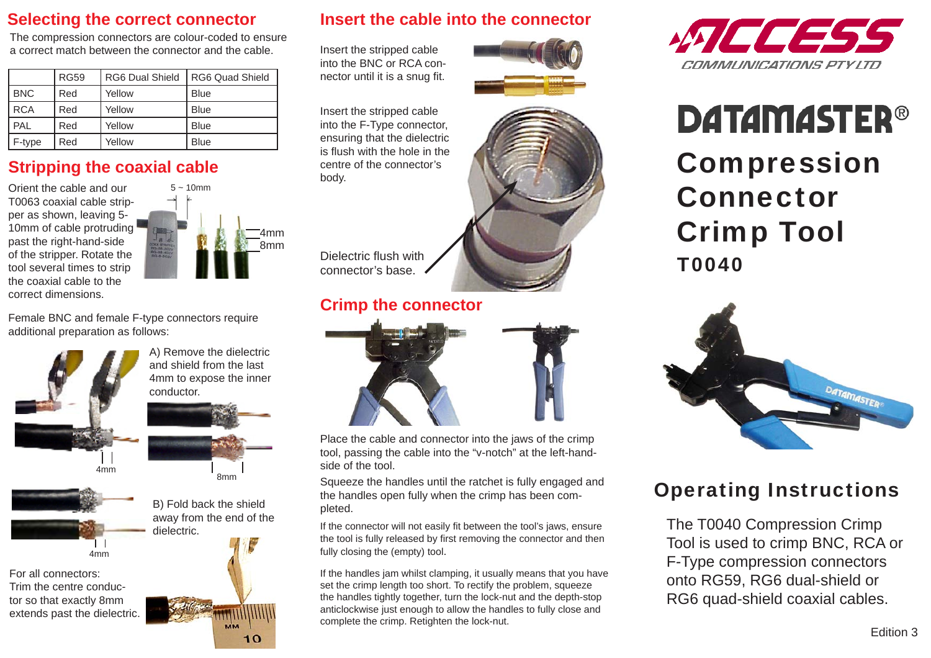### **Selecting the correct connector**

The compression connectors are colour-coded to ensure a correct match between the connector and the cable.

|            | <b>RG59</b> | <b>RG6 Dual Shield</b> | <b>RG6 Quad Shield</b> |
|------------|-------------|------------------------|------------------------|
| <b>BNC</b> | Red         | Yellow                 | <b>Blue</b>            |
| <b>RCA</b> | Red         | Yellow                 | <b>Blue</b>            |
| PAL        | Red         | Yellow                 | <b>Blue</b>            |
| F-type     | Red         | Yellow                 | <b>Blue</b>            |

### **Stripping the coaxial cable**

Orient the cable and our T0063 coaxial cable stripper as shown, leaving 5- 10mm of cable protruding past the right-hand-side of the stripper. Rotate the tool several times to strip the coaxial cable to the correct dimensions.



Female BNC and female F-type connectors require additional preparation as follows:



A) Remove the dielectric and shield from the last 4mm to expose the inner conductor.



4mm

For all connectors:Trim the centre conductor so that exactly 8mm extends past the dielectric.



 $10$ 

#### **Insert the cable into the connector**

Insert the stripped cable into the BNC or RCA connector until it is a snug fit.



Insert the stripped cable into the F-Type connector, ensuring that the dielectric is flush with the hole in the centre of the connector's body.



Dielectric flush with connector's base.

### **Crimp the connector**



Place the cable and connector into the jaws of the crimp tool, passing the cable into the "v-notch" at the left-handside of the tool.

Squeeze the handles until the ratchet is fully engaged and the handles open fully when the crimp has been completed.

If the connector will not easily fit between the tool's jaws, ensure the tool is fully released by first removing the connector and then fully closing the (empty) tool.

If the handles jam whilst clamping, it usually means that you have set the crimp length too short. To rectify the problem, squeeze the handles tightly together, turn the lock-nut and the depth-stop anticlockwise just enough to allow the handles to fully close and complete the crimp. Retighten the lock-nut.



# **DATAMASTER®**

Compression ConnectorCrimp Tool T0040



## Operating Instructions

The T0040 Compression Crimp Tool is used to crimp BNC, RCA or F-Type compression connectors onto RG59, RG6 dual-shield or RG6 quad-shield coaxial cables.